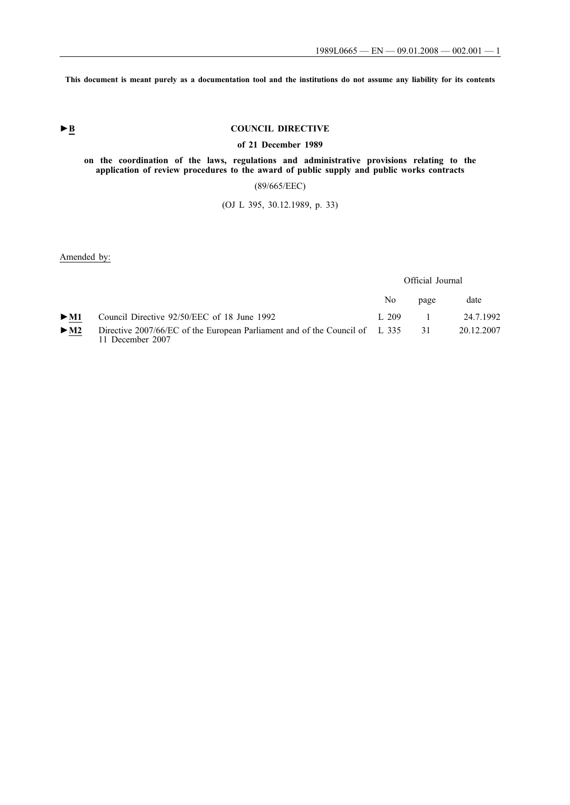**This document is meant purely as a documentation tool and the institutions do not assume any liability for its contents**

# **►B COUNCIL DIRECTIVE**

**of 21 December 1989**

**on the coordination of the laws, regulations and administrative provisions relating to the application of review procedures to the award of public supply and public works contracts**

(89/665/EEC)

(OJ L 395, 30.12.1989, p. 33)

Amended by:

Official Journal

|                            |                                                                                                   | No.   | page | date       |
|----------------------------|---------------------------------------------------------------------------------------------------|-------|------|------------|
| $\blacktriangleright$ M1   | Council Directive 92/50/EEC of 18 June 1992                                                       | 1.209 |      | 24.7.1992  |
| $\triangleright$ <u>M2</u> | Directive $2007/66/EC$ of the European Parliament and of the Council of L 335<br>11 December 2007 |       | - 31 | 20.12.2007 |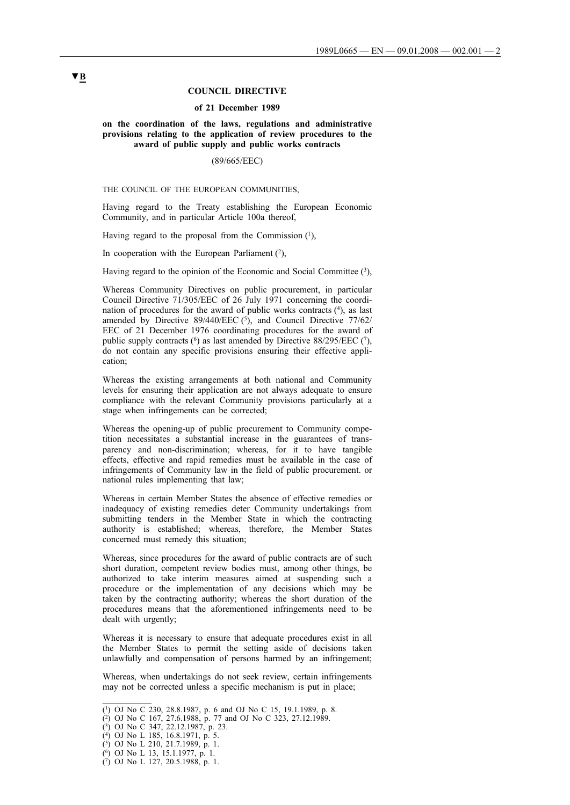### **COUNCIL DIRECTIVE**

### **of 21 December 1989**

### **on the coordination of the laws, regulations and administrative provisions relating to the application of review procedures to the award of public supply and public works contracts**

#### (89/665/EEC)

THE COUNCIL OF THE EUROPEAN COMMUNITIES,

Having regard to the Treaty establishing the European Economic Community, and in particular Article 100a thereof,

Having regard to the proposal from the Commission (1),

In cooperation with the European Parliament  $(2)$ ,

Having regard to the opinion of the Economic and Social Committee  $(3)$ ,

Whereas Community Directives on public procurement, in particular Council Directive 71/305/EEC of 26 July 1971 concerning the coordination of procedures for the award of public works contracts  $(4)$ , as last amended by Directive  $89/440/EEC$  (5), and Council Directive  $77/62/$ EEC of 21 December 1976 coordinating procedures for the award of public supply contracts  $(6)$  as last amended by Directive 88/295/EEC  $(7)$ , do not contain any specific provisions ensuring their effective application;

Whereas the existing arrangements at both national and Community levels for ensuring their application are not always adequate to ensure compliance with the relevant Community provisions particularly at a stage when infringements can be corrected;

Whereas the opening-up of public procurement to Community competition necessitates a substantial increase in the guarantees of transparency and non-discrimination; whereas, for it to have tangible effects, effective and rapid remedies must be available in the case of infringements of Community law in the field of public procurement. or national rules implementing that law;

Whereas in certain Member States the absence of effective remedies or inadequacy of existing remedies deter Community undertakings from submitting tenders in the Member State in which the contracting authority is established; whereas, therefore, the Member States concerned must remedy this situation;

Whereas, since procedures for the award of public contracts are of such short duration, competent review bodies must, among other things, be authorized to take interim measures aimed at suspending such a procedure or the implementation of any decisions which may be taken by the contracting authority; whereas the short duration of the procedures means that the aforementioned infringements need to be dealt with urgently;

Whereas it is necessary to ensure that adequate procedures exist in all the Member States to permit the setting aside of decisions taken unlawfully and compensation of persons harmed by an infringement;

Whereas, when undertakings do not seek review, certain infringements may not be corrected unless a specific mechanism is put in place;

# **▼B**

<sup>(1)</sup> OJ No C 230, 28.8.1987, p. 6 and OJ No C 15, 19.1.1989, p. 8.

<sup>(2)</sup> OJ No C 167, 27.6.1988, p. 77 and OJ No C 323, 27.12.1989.

<sup>(3)</sup> OJ No C 347, 22.12.1987, p. 23.

<sup>(4)</sup> OJ No L 185, 16.8.1971, p. 5.

<sup>(5)</sup> OJ No L 210, 21.7.1989, p. 1.

<sup>(6)</sup> OJ No L 13, 15.1.1977, p. 1.

<sup>(7)</sup> OJ No L 127, 20.5.1988, p. 1.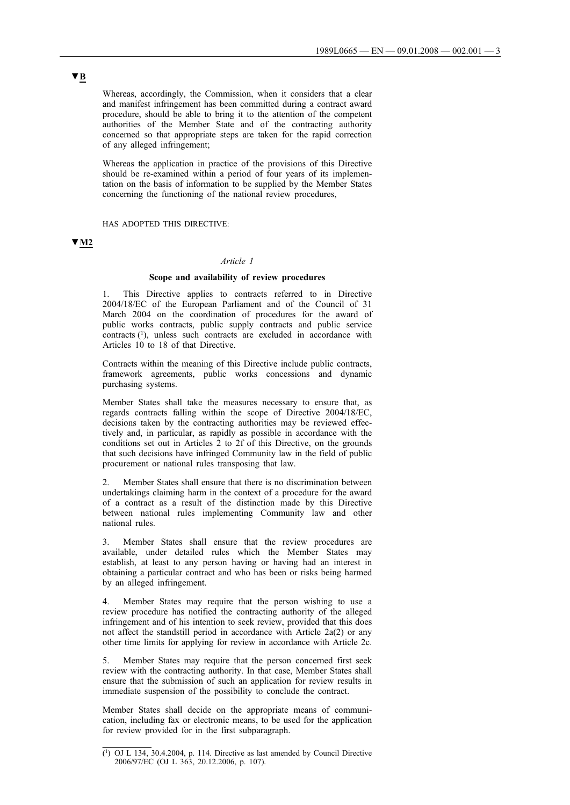Whereas, accordingly, the Commission, when it considers that a clear and manifest infringement has been committed during a contract award procedure, should be able to bring it to the attention of the competent authorities of the Member State and of the contracting authority concerned so that appropriate steps are taken for the rapid correction of any alleged infringement;

Whereas the application in practice of the provisions of this Directive should be re-examined within a period of four years of its implementation on the basis of information to be supplied by the Member States concerning the functioning of the national review procedures,

### HAS ADOPTED THIS DIRECTIVE:

## **▼M2**

## *Article 1*

## **Scope and availability of review procedures**

This Directive applies to contracts referred to in Directive 2004/18/EC of the European Parliament and of the Council of 31 March 2004 on the coordination of procedures for the award of public works contracts, public supply contracts and public service contracts (1), unless such contracts are excluded in accordance with Articles 10 to 18 of that Directive.

Contracts within the meaning of this Directive include public contracts, framework agreements, public works concessions and dynamic purchasing systems.

Member States shall take the measures necessary to ensure that, as regards contracts falling within the scope of Directive 2004/18/EC, decisions taken by the contracting authorities may be reviewed effectively and, in particular, as rapidly as possible in accordance with the conditions set out in Articles 2 to 2f of this Directive, on the grounds that such decisions have infringed Community law in the field of public procurement or national rules transposing that law.

Member States shall ensure that there is no discrimination between undertakings claiming harm in the context of a procedure for the award of a contract as a result of the distinction made by this Directive between national rules implementing Community law and other national rules.

3. Member States shall ensure that the review procedures are available, under detailed rules which the Member States may establish, at least to any person having or having had an interest in obtaining a particular contract and who has been or risks being harmed by an alleged infringement.

4. Member States may require that the person wishing to use a review procedure has notified the contracting authority of the alleged infringement and of his intention to seek review, provided that this does not affect the standstill period in accordance with Article 2a(2) or any other time limits for applying for review in accordance with Article 2c.

5. Member States may require that the person concerned first seek review with the contracting authority. In that case, Member States shall ensure that the submission of such an application for review results in immediate suspension of the possibility to conclude the contract.

Member States shall decide on the appropriate means of communication, including fax or electronic means, to be used for the application for review provided for in the first subparagraph.

# **▼B**

<sup>(1)</sup> OJ L 134, 30.4.2004, p. 114. Directive as last amended by Council Directive 2006/97/EC (OJ L 363, 20.12.2006, p. 107).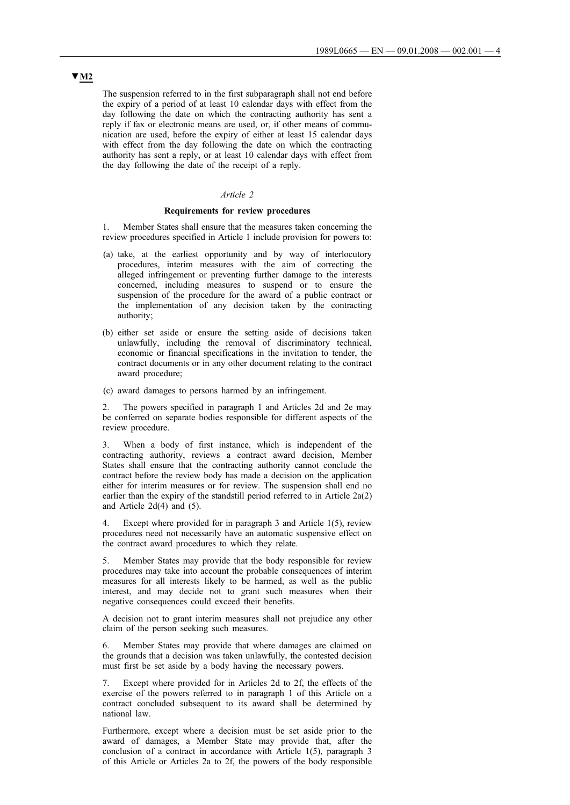The suspension referred to in the first subparagraph shall not end before the expiry of a period of at least 10 calendar days with effect from the day following the date on which the contracting authority has sent a reply if fax or electronic means are used, or, if other means of communication are used, before the expiry of either at least 15 calendar days with effect from the day following the date on which the contracting authority has sent a reply, or at least 10 calendar days with effect from the day following the date of the receipt of a reply.

## *Article 2*

### **Requirements for review procedures**

1. Member States shall ensure that the measures taken concerning the review procedures specified in Article 1 include provision for powers to:

- (a) take, at the earliest opportunity and by way of interlocutory procedures, interim measures with the aim of correcting the alleged infringement or preventing further damage to the interests concerned, including measures to suspend or to ensure the suspension of the procedure for the award of a public contract or the implementation of any decision taken by the contracting authority;
- (b) either set aside or ensure the setting aside of decisions taken unlawfully, including the removal of discriminatory technical, economic or financial specifications in the invitation to tender, the contract documents or in any other document relating to the contract award procedure;
- (c) award damages to persons harmed by an infringement.

2. The powers specified in paragraph 1 and Articles 2d and 2e may be conferred on separate bodies responsible for different aspects of the review procedure.

When a body of first instance, which is independent of the contracting authority, reviews a contract award decision, Member States shall ensure that the contracting authority cannot conclude the contract before the review body has made a decision on the application either for interim measures or for review. The suspension shall end no earlier than the expiry of the standstill period referred to in Article 2a(2) and Article 2d(4) and (5).

4. Except where provided for in paragraph 3 and Article 1(5), review procedures need not necessarily have an automatic suspensive effect on the contract award procedures to which they relate.

5. Member States may provide that the body responsible for review procedures may take into account the probable consequences of interim measures for all interests likely to be harmed, as well as the public interest, and may decide not to grant such measures when their negative consequences could exceed their benefits.

A decision not to grant interim measures shall not prejudice any other claim of the person seeking such measures.

6. Member States may provide that where damages are claimed on the grounds that a decision was taken unlawfully, the contested decision must first be set aside by a body having the necessary powers.

7. Except where provided for in Articles 2d to 2f, the effects of the exercise of the powers referred to in paragraph 1 of this Article on a contract concluded subsequent to its award shall be determined by national law.

Furthermore, except where a decision must be set aside prior to the award of damages, a Member State may provide that, after the conclusion of a contract in accordance with Article 1(5), paragraph 3 of this Article or Articles 2a to 2f, the powers of the body responsible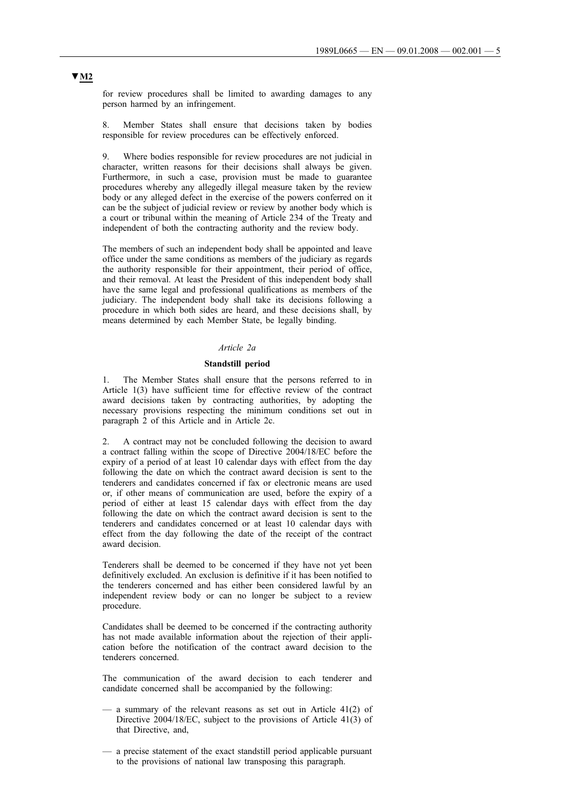for review procedures shall be limited to awarding damages to any person harmed by an infringement.

8. Member States shall ensure that decisions taken by bodies responsible for review procedures can be effectively enforced.

9. Where bodies responsible for review procedures are not judicial in character, written reasons for their decisions shall always be given. Furthermore, in such a case, provision must be made to guarantee procedures whereby any allegedly illegal measure taken by the review body or any alleged defect in the exercise of the powers conferred on it can be the subject of judicial review or review by another body which is a court or tribunal within the meaning of Article 234 of the Treaty and independent of both the contracting authority and the review body.

The members of such an independent body shall be appointed and leave office under the same conditions as members of the judiciary as regards the authority responsible for their appointment, their period of office, and their removal. At least the President of this independent body shall have the same legal and professional qualifications as members of the judiciary. The independent body shall take its decisions following a procedure in which both sides are heard, and these decisions shall, by means determined by each Member State, be legally binding.

### *Article 2a*

#### **Standstill period**

1. The Member States shall ensure that the persons referred to in Article 1(3) have sufficient time for effective review of the contract award decisions taken by contracting authorities, by adopting the necessary provisions respecting the minimum conditions set out in paragraph 2 of this Article and in Article 2c.

2. A contract may not be concluded following the decision to award a contract falling within the scope of Directive 2004/18/EC before the expiry of a period of at least 10 calendar days with effect from the day following the date on which the contract award decision is sent to the tenderers and candidates concerned if fax or electronic means are used or, if other means of communication are used, before the expiry of a period of either at least 15 calendar days with effect from the day following the date on which the contract award decision is sent to the tenderers and candidates concerned or at least 10 calendar days with effect from the day following the date of the receipt of the contract award decision.

Tenderers shall be deemed to be concerned if they have not yet been definitively excluded. An exclusion is definitive if it has been notified to the tenderers concerned and has either been considered lawful by an independent review body or can no longer be subject to a review procedure.

Candidates shall be deemed to be concerned if the contracting authority has not made available information about the rejection of their application before the notification of the contract award decision to the tenderers concerned.

The communication of the award decision to each tenderer and candidate concerned shall be accompanied by the following:

- a summary of the relevant reasons as set out in Article 41(2) of Directive 2004/18/EC, subject to the provisions of Article 41(3) of that Directive, and,
- a precise statement of the exact standstill period applicable pursuant to the provisions of national law transposing this paragraph.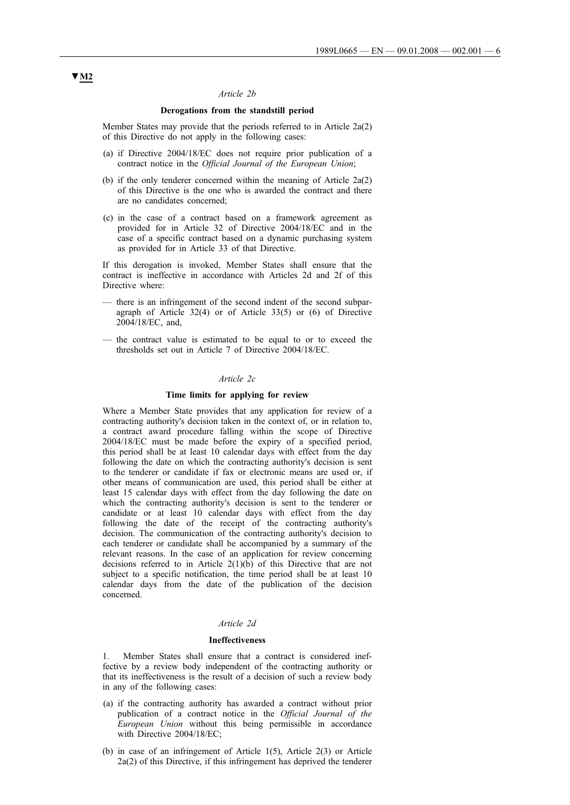## *Article 2b*

### **Derogations from the standstill period**

Member States may provide that the periods referred to in Article 2a(2) of this Directive do not apply in the following cases:

- (a) if Directive 2004/18/EC does not require prior publication of a contract notice in the *Official Journal of the European Union*;
- (b) if the only tenderer concerned within the meaning of Article 2a(2) of this Directive is the one who is awarded the contract and there are no candidates concerned;
- (c) in the case of a contract based on a framework agreement as provided for in Article 32 of Directive 2004/18/EC and in the case of a specific contract based on a dynamic purchasing system as provided for in Article 33 of that Directive.

If this derogation is invoked, Member States shall ensure that the contract is ineffective in accordance with Articles 2d and 2f of this Directive where:

- there is an infringement of the second indent of the second subparagraph of Article 32(4) or of Article 33(5) or (6) of Directive 2004/18/EC, and,
- the contract value is estimated to be equal to or to exceed the thresholds set out in Article 7 of Directive 2004/18/EC.

### *Article 2c*

### **Time limits for applying for review**

Where a Member State provides that any application for review of a contracting authority's decision taken in the context of, or in relation to, a contract award procedure falling within the scope of Directive 2004/18/EC must be made before the expiry of a specified period, this period shall be at least 10 calendar days with effect from the day following the date on which the contracting authority's decision is sent to the tenderer or candidate if fax or electronic means are used or, if other means of communication are used, this period shall be either at least 15 calendar days with effect from the day following the date on which the contracting authority's decision is sent to the tenderer or candidate or at least 10 calendar days with effect from the day following the date of the receipt of the contracting authority's decision. The communication of the contracting authority's decision to each tenderer or candidate shall be accompanied by a summary of the relevant reasons. In the case of an application for review concerning decisions referred to in Article 2(1)(b) of this Directive that are not subject to a specific notification, the time period shall be at least 10 calendar days from the date of the publication of the decision concerned.

## *Article 2d*

#### **Ineffectiveness**

1. Member States shall ensure that a contract is considered ineffective by a review body independent of the contracting authority or that its ineffectiveness is the result of a decision of such a review body in any of the following cases:

- (a) if the contracting authority has awarded a contract without prior publication of a contract notice in the *Official Journal of the European Union* without this being permissible in accordance with Directive 2004/18/EC;
- (b) in case of an infringement of Article 1(5), Article 2(3) or Article 2a(2) of this Directive, if this infringement has deprived the tenderer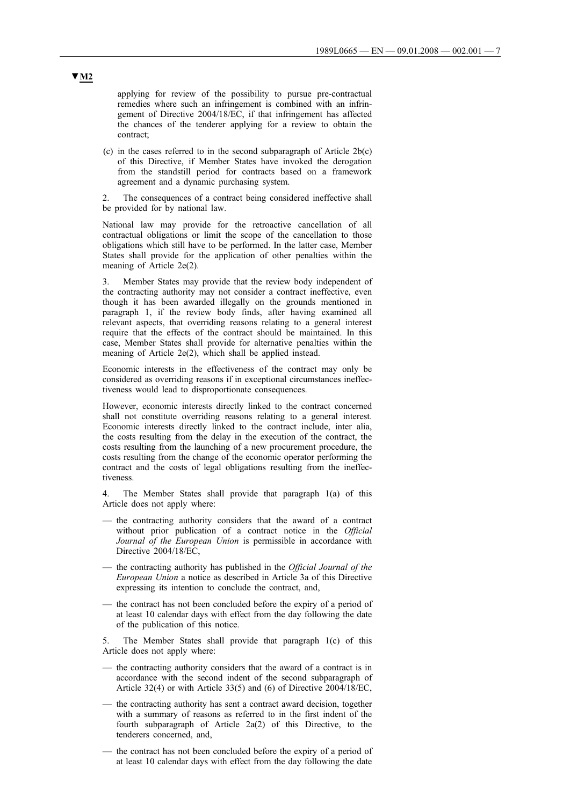applying for review of the possibility to pursue pre-contractual remedies where such an infringement is combined with an infringement of Directive 2004/18/EC, if that infringement has affected the chances of the tenderer applying for a review to obtain the contract;

(c) in the cases referred to in the second subparagraph of Article 2b(c) of this Directive, if Member States have invoked the derogation from the standstill period for contracts based on a framework agreement and a dynamic purchasing system.

The consequences of a contract being considered ineffective shall be provided for by national law.

National law may provide for the retroactive cancellation of all contractual obligations or limit the scope of the cancellation to those obligations which still have to be performed. In the latter case, Member States shall provide for the application of other penalties within the meaning of Article 2e(2).

Member States may provide that the review body independent of the contracting authority may not consider a contract ineffective, even though it has been awarded illegally on the grounds mentioned in paragraph 1, if the review body finds, after having examined all relevant aspects, that overriding reasons relating to a general interest require that the effects of the contract should be maintained. In this case, Member States shall provide for alternative penalties within the meaning of Article 2e(2), which shall be applied instead.

Economic interests in the effectiveness of the contract may only be considered as overriding reasons if in exceptional circumstances ineffectiveness would lead to disproportionate consequences.

However, economic interests directly linked to the contract concerned shall not constitute overriding reasons relating to a general interest. Economic interests directly linked to the contract include, inter alia, the costs resulting from the delay in the execution of the contract, the costs resulting from the launching of a new procurement procedure, the costs resulting from the change of the economic operator performing the contract and the costs of legal obligations resulting from the ineffectiveness.

The Member States shall provide that paragraph 1(a) of this Article does not apply where:

- the contracting authority considers that the award of a contract without prior publication of a contract notice in the *Official Journal of the European Union* is permissible in accordance with Directive 2004/18/EC,
- the contracting authority has published in the *Official Journal of the European Union* a notice as described in Article 3a of this Directive expressing its intention to conclude the contract, and,
- the contract has not been concluded before the expiry of a period of at least 10 calendar days with effect from the day following the date of the publication of this notice.

The Member States shall provide that paragraph 1(c) of this Article does not apply where:

- the contracting authority considers that the award of a contract is in accordance with the second indent of the second subparagraph of Article 32(4) or with Article 33(5) and (6) of Directive 2004/18/EC,
- the contracting authority has sent a contract award decision, together with a summary of reasons as referred to in the first indent of the fourth subparagraph of Article 2a(2) of this Directive, to the tenderers concerned, and,
- the contract has not been concluded before the expiry of a period of at least 10 calendar days with effect from the day following the date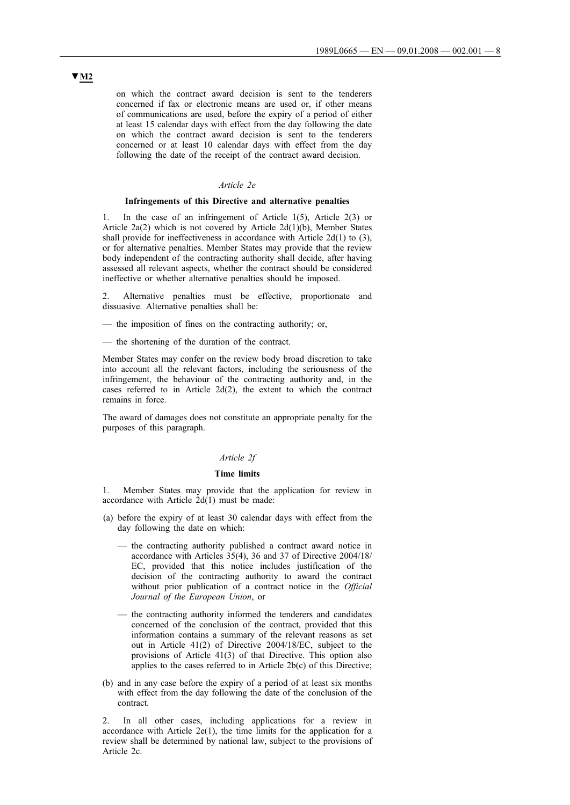on which the contract award decision is sent to the tenderers concerned if fax or electronic means are used or, if other means of communications are used, before the expiry of a period of either at least 15 calendar days with effect from the day following the date on which the contract award decision is sent to the tenderers concerned or at least 10 calendar days with effect from the day following the date of the receipt of the contract award decision.

### *Article 2e*

### **Infringements of this Directive and alternative penalties**

1. In the case of an infringement of Article 1(5), Article 2(3) or Article 2a(2) which is not covered by Article 2d(1)(b), Member States shall provide for ineffectiveness in accordance with Article 2d(1) to (3), or for alternative penalties. Member States may provide that the review body independent of the contracting authority shall decide, after having assessed all relevant aspects, whether the contract should be considered ineffective or whether alternative penalties should be imposed.

2. Alternative penalties must be effective, proportionate and dissuasive. Alternative penalties shall be:

— the imposition of fines on the contracting authority; or,

— the shortening of the duration of the contract.

Member States may confer on the review body broad discretion to take into account all the relevant factors, including the seriousness of the infringement, the behaviour of the contracting authority and, in the cases referred to in Article 2d(2), the extent to which the contract remains in force.

The award of damages does not constitute an appropriate penalty for the purposes of this paragraph.

## *Article 2f*

#### **Time limits**

1. Member States may provide that the application for review in accordance with Article  $2d(1)$  must be made:

- (a) before the expiry of at least 30 calendar days with effect from the day following the date on which:
	- the contracting authority published a contract award notice in accordance with Articles 35(4), 36 and 37 of Directive 2004/18/ EC, provided that this notice includes justification of the decision of the contracting authority to award the contract without prior publication of a contract notice in the *Official Journal of the European Union*, or
	- the contracting authority informed the tenderers and candidates concerned of the conclusion of the contract, provided that this information contains a summary of the relevant reasons as set out in Article 41(2) of Directive 2004/18/EC, subject to the provisions of Article 41(3) of that Directive. This option also applies to the cases referred to in Article 2b(c) of this Directive;
- (b) and in any case before the expiry of a period of at least six months with effect from the day following the date of the conclusion of the contract.

2. In all other cases, including applications for a review in accordance with Article  $2e(1)$ , the time limits for the application for a review shall be determined by national law, subject to the provisions of Article 2c.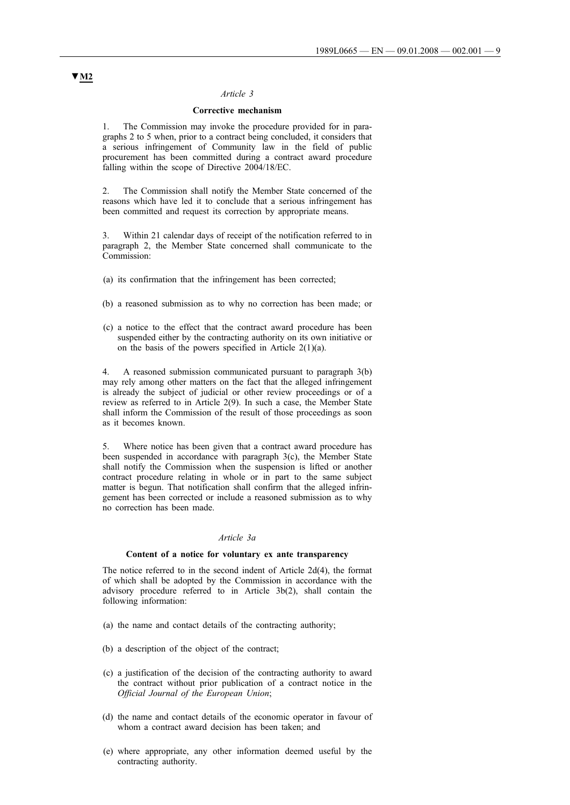## *Article 3*

## **Corrective mechanism**

1. The Commission may invoke the procedure provided for in paragraphs 2 to 5 when, prior to a contract being concluded, it considers that a serious infringement of Community law in the field of public procurement has been committed during a contract award procedure falling within the scope of Directive 2004/18/EC.

2. The Commission shall notify the Member State concerned of the reasons which have led it to conclude that a serious infringement has been committed and request its correction by appropriate means.

Within 21 calendar days of receipt of the notification referred to in paragraph 2, the Member State concerned shall communicate to the Commission:

- (a) its confirmation that the infringement has been corrected;
- (b) a reasoned submission as to why no correction has been made; or
- (c) a notice to the effect that the contract award procedure has been suspended either by the contracting authority on its own initiative or on the basis of the powers specified in Article  $2(1)(a)$ .

4. A reasoned submission communicated pursuant to paragraph 3(b) may rely among other matters on the fact that the alleged infringement is already the subject of judicial or other review proceedings or of a review as referred to in Article 2(9). In such a case, the Member State shall inform the Commission of the result of those proceedings as soon as it becomes known.

5. Where notice has been given that a contract award procedure has been suspended in accordance with paragraph 3(c), the Member State shall notify the Commission when the suspension is lifted or another contract procedure relating in whole or in part to the same subject matter is begun. That notification shall confirm that the alleged infringement has been corrected or include a reasoned submission as to why no correction has been made.

## *Article 3a*

### **Content of a notice for voluntary ex ante transparency**

The notice referred to in the second indent of Article 2d(4), the format of which shall be adopted by the Commission in accordance with the advisory procedure referred to in Article 3b(2), shall contain the following information:

- (a) the name and contact details of the contracting authority;
- (b) a description of the object of the contract;
- (c) a justification of the decision of the contracting authority to award the contract without prior publication of a contract notice in the *Official Journal of the European Union*;
- (d) the name and contact details of the economic operator in favour of whom a contract award decision has been taken; and
- (e) where appropriate, any other information deemed useful by the contracting authority.